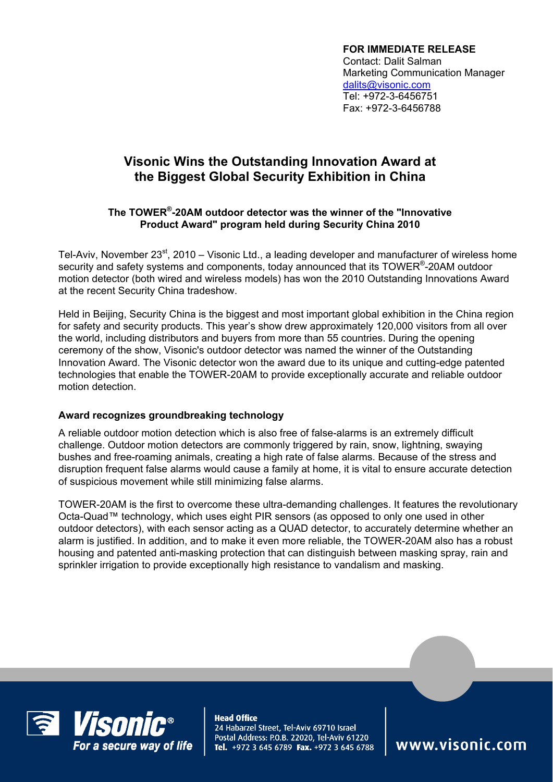**FOR IMMEDIATE RELEASE**  Contact: Dalit Salman Marketing Communication Manager dalits@visonic.com Tel: +972-3-6456751 Fax: +972-3-6456788

## **Visonic Wins the Outstanding Innovation Award at the Biggest Global Security Exhibition in China**

## **The TOWER®-20AM outdoor detector was the winner of the "Innovative Product Award" program held during Security China 2010**

Tel-Aviv, November 23<sup>st</sup>, 2010 – Visonic Ltd., a leading developer and manufacturer of wireless home security and safety systems and components, today announced that its TOWER®-20AM outdoor motion detector (both wired and wireless models) has won the 2010 Outstanding Innovations Award at the recent Security China tradeshow.

Held in Beijing, Security China is the biggest and most important global exhibition in the China region for safety and security products. This year's show drew approximately 120,000 visitors from all over the world, including distributors and buyers from more than 55 countries. During the opening ceremony of the show, Visonic's outdoor detector was named the winner of the Outstanding Innovation Award. The Visonic detector won the award due to its unique and cutting-edge patented technologies that enable the TOWER-20AM to provide exceptionally accurate and reliable outdoor motion detection.

## **Award recognizes groundbreaking technology**

A reliable outdoor motion detection which is also free of false-alarms is an extremely difficult challenge. Outdoor motion detectors are commonly triggered by rain, snow, lightning, swaying bushes and free-roaming animals, creating a high rate of false alarms. Because of the stress and disruption frequent false alarms would cause a family at home, it is vital to ensure accurate detection of suspicious movement while still minimizing false alarms.

TOWER-20AM is the first to overcome these ultra-demanding challenges. It features the revolutionary Octa-Quad™ technology, which uses eight PIR sensors (as opposed to only one used in other outdoor detectors), with each sensor acting as a QUAD detector, to accurately determine whether an alarm is justified. In addition, and to make it even more reliable, the TOWER-20AM also has a robust housing and patented anti-masking protection that can distinguish between masking spray, rain and sprinkler irrigation to provide exceptionally high resistance to vandalism and masking.



**Head Office** 24 Habarzel Street, Tel-Aviv 69710 Israel Postal Address: P.O.B. 22020, Tel-Aviv 61220 Tel. +972 3 645 6789 Fax. +972 3 645 6788

www.visonic.com